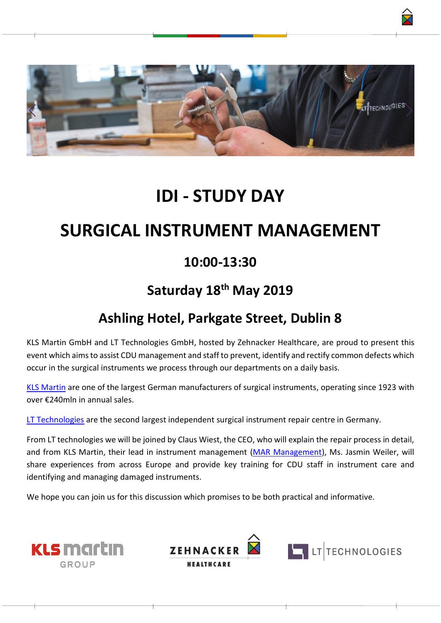

## **IDI - STUDY DAY**

# **SURGICAL INSTRUMENT MANAGEMENT**

### **10:00-13:30**

### **Saturday 18th May 2019**

### **Ashling Hotel, Parkgate Street, Dublin 8**

KLS Martin GmbH and LT Technologies GmbH, hosted by Zehnacker Healthcare, are proud to present this event which aims to assist CDU management and staff to prevent, identify and rectify common defects which occur in the surgical instruments we process through our departments on a daily basis.

[KLS Martin](https://www.klsmartin.com/de/) are one of the largest German manufacturers of surgical instruments, operating since 1923 with over €240mln in annual sales.

[LT Technologies](https://www.lt-technologies.de/Repair-Service/Advantages-51711,l-en.html) are the second largest independent surgical instrument repair centre in Germany.

From LT technologies we will be joined by Claus Wiest, the CEO, who will explain the repair process in detail, and from KLS Martin, their lead in instrument management [\(MAR Management\)](https://www.klsmartin.com/en/services/instrument-management/), Ms. Jasmin Weiler, will share experiences from across Europe and provide key training for CDU staff in instrument care and identifying and managing damaged instruments.

We hope you can join us for this discussion which promises to be both practical and informative.